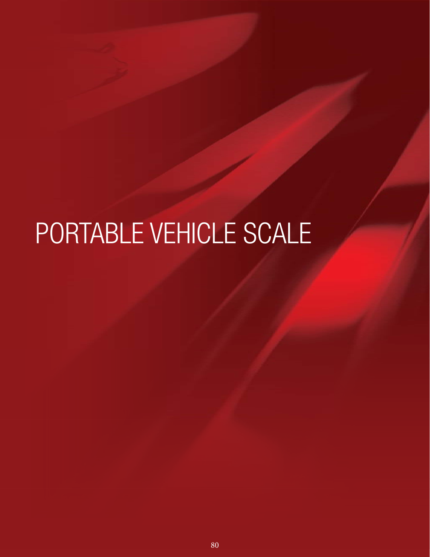# PORTABLE VEHICLE SCALE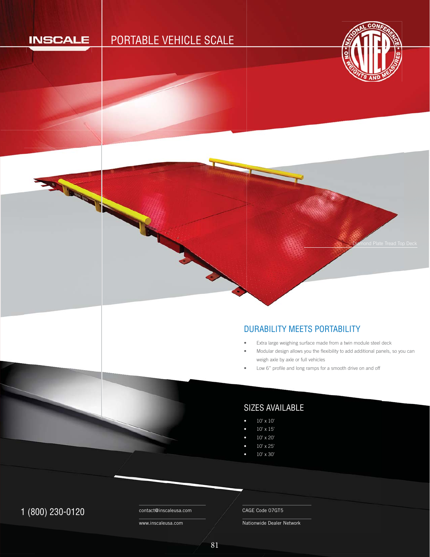## **INSCALE**

**RACK CONTROL** 

# PORTABLE VEHICLE SCALE



Diamond Plate Tread Top Deck

#### DURABILITY MEETS PORTABILITY D

- Extra large weighing surface made from a twin module steel deck •
- Modular design allows you the flexibility to add additional panels, so you can weigh axle by axle or full vehicles •
- Low 6" profile and long ramps for a smooth drive on and off •

## SIZES AVAILABLE

- 10' x 10'
- $10' \times 15'$
- 10' x 20'
- 10' x 25'
- 10' x 30'

## 1 (800) 230-0120 Contact@inscaleusa.com CAGE Code 07GT5

contact@inscaleusa.com

www.inscaleusa.com

Nationwide Dealer Network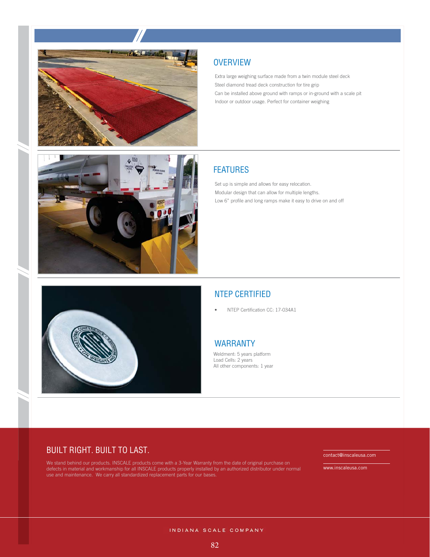



Extra large weighing surface made from a twin module steel deck Steel diamond tread deck construction for tire grip Can be installed above ground with ramps or in-ground with a scale pit Indoor or outdoor usage. Perfect for container weighing

## **FEATURES**

Set up is simple and allows for easy relocation. Modular design that can allow for multiple lengths. Low 6" profile and long ramps make it easy to drive on and off



## NTEP CERTIFIED

• NTEP Certification CC: 17-034A1

#### WARRANTY

Weldment: 5 years platform Load Cells: 2 years All other components: 1 year

### BUILT RIGHT. BUILT TO LAST.

We stand behind our products. INSCALE products come with a 3-Year Warranty from the date of original purchase on defects in material and workmanship for all INSCALE products properly installed by an authorized distributor under normal use and maintenance. We carry all standardized replacement parts for our bases.

contact@inscaleusa.com

www.inscaleusa.com

INDIANA SCALE COMPANY

82